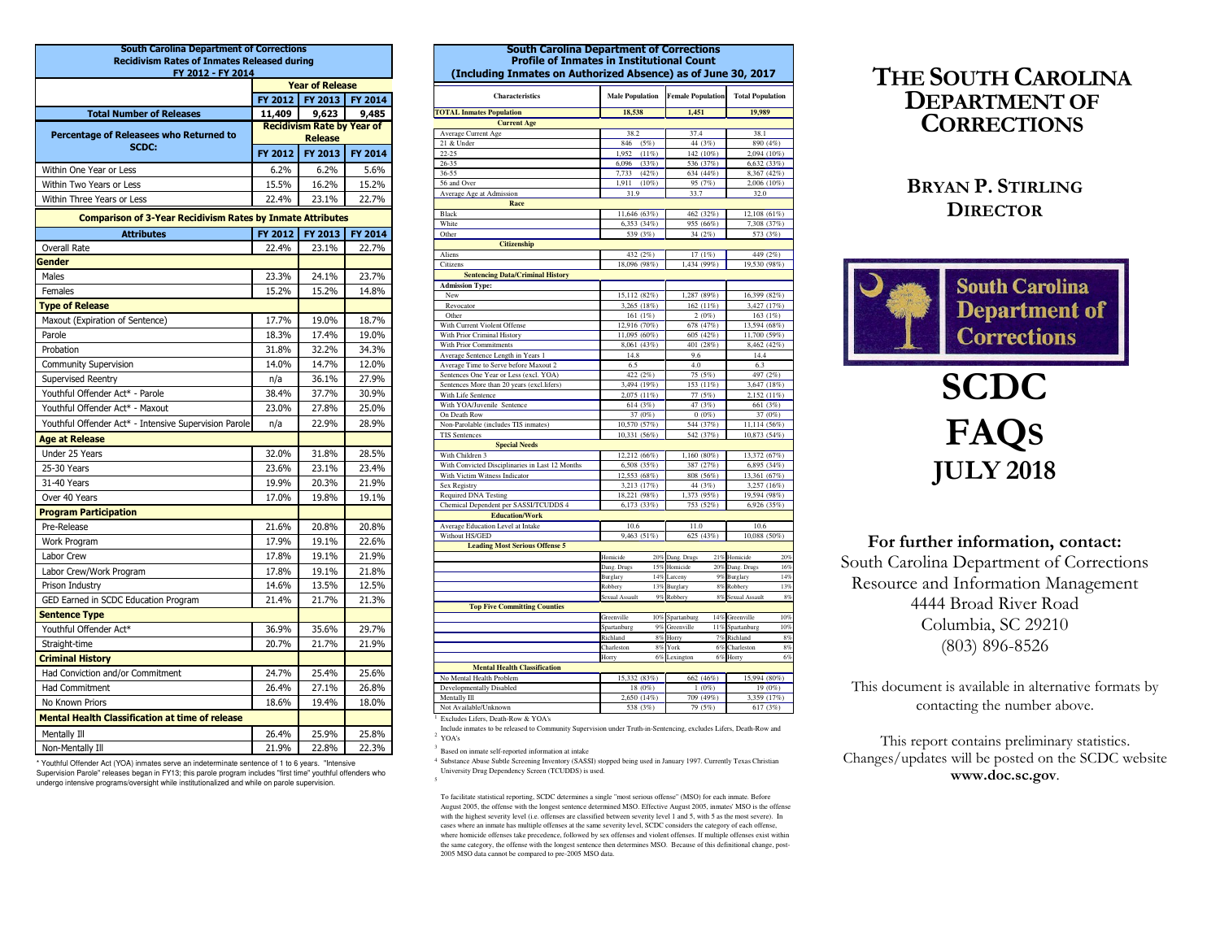| <b>South Carolina Department of Corrections</b>                   |                                                     |                                   |                |  |  |  |
|-------------------------------------------------------------------|-----------------------------------------------------|-----------------------------------|----------------|--|--|--|
| <b>Recidivism Rates of Inmates Released during</b>                |                                                     |                                   |                |  |  |  |
| FY 2012 - FY 2014                                                 |                                                     |                                   |                |  |  |  |
|                                                                   | FY 2012                                             | <b>Year of Release</b><br>FY 2013 | FY 2014        |  |  |  |
|                                                                   | 11,409                                              | 9,623                             |                |  |  |  |
| <b>Total Number of Releases</b>                                   |                                                     |                                   | 9,485          |  |  |  |
| Percentage of Releasees who Returned to                           | <b>Recidivism Rate by Year of</b><br><b>Release</b> |                                   |                |  |  |  |
| SCDC:                                                             | <b>FY 2012</b>                                      | FY 2013                           | <b>FY 2014</b> |  |  |  |
| Within One Year or Less                                           | 6.2%                                                | 6.2%                              | 5.6%           |  |  |  |
| Within Two Years or Less                                          | 15.5%                                               | 16.2%                             | 15.2%          |  |  |  |
| Within Three Years or Less                                        | 22.4%                                               | 23.1%                             | 22.7%          |  |  |  |
| <b>Comparison of 3-Year Recidivism Rates by Inmate Attributes</b> |                                                     |                                   |                |  |  |  |
| <b>Attributes</b>                                                 | FY 2012                                             | FY 2013                           | FY 2014        |  |  |  |
| Overall Rate                                                      | 22.4%                                               | 23.1%                             | 22.7%          |  |  |  |
| Gender                                                            |                                                     |                                   |                |  |  |  |
| Males                                                             | 23.3%                                               | 24.1%                             | 23.7%          |  |  |  |
| Females                                                           | 15.2%                                               | 15.2%                             | 14.8%          |  |  |  |
| <b>Type of Release</b>                                            |                                                     |                                   |                |  |  |  |
| Maxout (Expiration of Sentence)                                   | 17.7%                                               | 19.0%                             | 18.7%          |  |  |  |
| Parole                                                            | 18.3%                                               | 17.4%                             | 19.0%          |  |  |  |
| Probation                                                         | 31.8%                                               | 32.2%                             | 34.3%          |  |  |  |
| <b>Community Supervision</b>                                      | 14.0%                                               | 14.7%                             | 12.0%          |  |  |  |
| Supervised Reentry                                                | n/a                                                 | 36.1%                             | 27.9%          |  |  |  |
| Youthful Offender Act* - Parole                                   | 38.4%                                               | 37.7%                             | 30.9%          |  |  |  |
| Youthful Offender Act* - Maxout                                   | 23.0%                                               | 27.8%                             | 25.0%          |  |  |  |
| Youthful Offender Act* - Intensive Supervision Parole             | n/a                                                 | 22.9%                             | 28.9%          |  |  |  |
| <b>Age at Release</b>                                             |                                                     |                                   |                |  |  |  |
| Under 25 Years                                                    | 32.0%                                               | 31.8%                             | 28.5%          |  |  |  |
| 25-30 Years                                                       | 23.6%                                               | 23.1%                             | 23.4%          |  |  |  |
| 31-40 Years                                                       | 19.9%                                               | 20.3%                             | 21.9%          |  |  |  |
| Over 40 Years                                                     | 17.0%                                               | 19.8%                             | 19.1%          |  |  |  |
| <b>Program Participation</b>                                      |                                                     |                                   |                |  |  |  |
| Pre-Release                                                       | 21.6%                                               | 20.8%                             | 20.8%          |  |  |  |
| Work Program                                                      | 17.9%                                               | 19.1%                             | 22.6%          |  |  |  |
| Labor Crew                                                        | 17.8%                                               | 19.1%                             | 21.9%          |  |  |  |
| Labor Crew/Work Program                                           | 17.8%                                               | 19.1%                             | 21.8%          |  |  |  |
| Prison Industry                                                   | 14.6%                                               | 13.5%                             | 12.5%          |  |  |  |
| GED Earned in SCDC Education Program                              | 21.4%                                               | 21.7%                             | 21.3%          |  |  |  |
| <b>Sentence Type</b>                                              |                                                     |                                   |                |  |  |  |
| Youthful Offender Act*                                            | 36.9%                                               | 35.6%                             | 29.7%          |  |  |  |
| Straight-time                                                     | 20.7%                                               | 21.7%                             | 21.9%          |  |  |  |
| <b>Criminal History</b>                                           |                                                     |                                   |                |  |  |  |
| Had Conviction and/or Commitment                                  | 24.7%                                               | 25.4%                             | 25.6%          |  |  |  |
| <b>Had Commitment</b>                                             | 26.4%                                               | 27.1%                             | 26.8%          |  |  |  |
| No Known Priors                                                   | 18.6%                                               | 19.4%                             | 18.0%          |  |  |  |
| <b>Mental Health Classification at time of release</b>            |                                                     |                                   |                |  |  |  |
| Mentally Ill                                                      | 26.4%                                               | 25.9%                             | 25.8%          |  |  |  |
| Non-Mentally Ill                                                  | 21.9%                                               | 22.8%                             | 22.3%          |  |  |  |

 Supervision Parole" releases began in FY13; this parole program includes "first time" youthful offenders who undergo intensive programs/oversight while institutionalized and while on parole supervision.

| <b>South Carolina Department of Corrections</b><br><b>Profile of Inmates in Institutional Count</b><br>(Including Inmates on Authorized Absence) as of June 30, 2017 |                            |           |                          |                       |                           |           |
|----------------------------------------------------------------------------------------------------------------------------------------------------------------------|----------------------------|-----------|--------------------------|-----------------------|---------------------------|-----------|
| <b>Characteristics</b>                                                                                                                                               | <b>Male Population</b>     |           | <b>Female Population</b> |                       | <b>Total Population</b>   |           |
| <b>TOTAL Inmates Population</b>                                                                                                                                      | 18,538                     |           | 1,451                    |                       | 19,989                    |           |
| <b>Current Age</b>                                                                                                                                                   |                            |           |                          |                       |                           |           |
| Average Current Age                                                                                                                                                  | 38.2                       |           | 37.4                     |                       | 38.1                      |           |
| 21 & Under                                                                                                                                                           | 846                        | (5%)      |                          | 44 (3%)               | 890 (4%)                  |           |
| $22 - 25$                                                                                                                                                            | 1,952                      | (11%)     |                          | 142 (10%)             | 2,094 (10%)               |           |
| $26 - 35$                                                                                                                                                            | 6,096                      | (33%)     |                          | 536 (37%)             | 6,632 (33%)               |           |
| 36-55                                                                                                                                                                | 7,733                      | (42%)     |                          | 634 (44%)             | 8,367 (42%)               |           |
| 56 and Over                                                                                                                                                          | 1,911<br>31.9              | $(10\%)$  | 33.7                     | 95 (7%)               | 2,006 (10%)<br>32.0       |           |
| Average Age at Admission<br>Race                                                                                                                                     |                            |           |                          |                       |                           |           |
| Black                                                                                                                                                                | 11,646 (63%)               |           |                          | 462 (32%)             | 12,108 (61%)              |           |
| White                                                                                                                                                                | 6,353 (34%)                |           |                          | 955 (66%)             | 7,308 (37%)               |           |
| Other                                                                                                                                                                | 539 (3%)                   |           |                          | 34(2%)                | 573 (3%)                  |           |
| <b>Citizenship</b>                                                                                                                                                   |                            |           |                          |                       |                           |           |
| Aliens                                                                                                                                                               | 432 (2%)                   |           |                          | 17(1%)                | 449 (2%)                  |           |
| Citizens                                                                                                                                                             | 18,096 (98%)               |           | 1,434 (99%)              |                       | 19,530 (98%)              |           |
| <b>Sentencing Data/Criminal History</b>                                                                                                                              |                            |           |                          |                       |                           |           |
| <b>Admission Type:</b>                                                                                                                                               |                            |           |                          |                       |                           |           |
| New                                                                                                                                                                  | 15,112 (82%)               |           | 1,287 (89%)              |                       | 16,399 (82%)              |           |
| Revocator                                                                                                                                                            | 3.265 (18%)                |           |                          | 162 (11%)             | 3.427 (17%)               |           |
| Other                                                                                                                                                                | 161(1%)                    |           |                          | 2(0%)                 | 163 (1%)                  |           |
| With Current Violent Offense                                                                                                                                         | 12,916 (70%)               |           |                          | 678 (47%)             | 13,594 (68%)              |           |
| With Prior Criminal History                                                                                                                                          | 11,095 (60%)               |           |                          | 605 (42%)             | 11,700 (59%)              |           |
| With Prior Commitments                                                                                                                                               | 8,061 (43%)                |           |                          | 401 (28%)             | 8,462 (42%)               |           |
| Average Sentence Length in Years 1                                                                                                                                   | 14.8                       |           | 9.6                      |                       | 14.4                      |           |
| Average Time to Serve before Maxout 2                                                                                                                                | 6.5                        |           | 4.0                      |                       | 6.3                       |           |
| Sentences One Year or Less (excl. YOA)                                                                                                                               | 422 (2%)                   |           |                          | 75 (5%)               | 497 (2%)                  |           |
| Sentences More than 20 years (excl.lifers)                                                                                                                           | 3,494 (19%)<br>2,075 (11%) |           |                          | 153 (11%)             | 3,647 (18%)               |           |
| With Life Sentence<br>With YOA/Juvenile Sentence                                                                                                                     | 614 (3%)                   |           |                          | 77 (5%)<br>47 (3%)    | 2,152 (11%)<br>661 (3%)   |           |
| On Death Row                                                                                                                                                         | 37 (0%)                    |           |                          | 0(0%)                 | 37 (0%)                   |           |
| Non-Parolable (includes TIS inmates)                                                                                                                                 | 10,570 (57%)               |           |                          | 544 (37%)             | 11,114 (56%)              |           |
| <b>TIS Sentences</b>                                                                                                                                                 | 10,331 (56%)               |           |                          | 542 (37%)             | 10,873 (54%)              |           |
| <b>Special Needs</b>                                                                                                                                                 |                            |           |                          |                       |                           |           |
| With Children 3                                                                                                                                                      | 12,212 (66%)               |           | 1,160 (80%)              |                       | 13,372 (67%)              |           |
| With Convicted Disciplinaries in Last 12 Months                                                                                                                      | 6,508 (35%)                |           |                          | 387 (27%)             | 6,895 (34%)               |           |
| With Victim Witness Indicator                                                                                                                                        | 12,553 (68%)               |           |                          | 808 (56%)             | 13,361 (67%)              |           |
| Sex Registry                                                                                                                                                         | 3,213 (17%)                |           |                          | 44 (3%)               | 3,257 (16%)               |           |
| Required DNA Testing                                                                                                                                                 | 18,221 (98%)               |           | 1,373 (95%)              |                       | 19,594 (98%)              |           |
| Chemical Dependent per SASSI/TCUDDS 4                                                                                                                                | 6,173 (33%)                |           |                          | 753 (52%)             | 6,926 (35%)               |           |
| <b>Education/Work</b>                                                                                                                                                |                            |           |                          |                       |                           |           |
| Average Education Level at Intake                                                                                                                                    | 10.6                       |           | 11.0                     |                       | 10.6                      |           |
| Without HS/GED                                                                                                                                                       | 9,463 (51%)                |           |                          | 625 (43%)             | 10,088 (50%)              |           |
| <b>Leading Most Serious Offense 5</b>                                                                                                                                |                            |           |                          |                       |                           |           |
|                                                                                                                                                                      | Homicide                   |           | 20% Dang. Drugs          |                       | 21% Homicide              | 20%       |
|                                                                                                                                                                      | Dang. Drugs                |           | 15% Homicide             |                       | 20% Dang. Drugs           | 16%       |
|                                                                                                                                                                      | Burglary                   | 14%       | Larceny                  | 9%                    | Burglary                  | 14%       |
|                                                                                                                                                                      | Robbery<br>Sexual Assault  | 13%<br>9% | Burglary<br>Robbery      | 8%<br>8%              | Robbery<br>Sexual Assault | 13%<br>8% |
| <b>Top Five Committing Counties</b>                                                                                                                                  |                            |           |                          |                       |                           |           |
|                                                                                                                                                                      | Greenville                 |           | 10% Spartanburg          | 14%                   | Greenville                | 10%       |
|                                                                                                                                                                      | Spartanburg                | 9%        | Greenville               | 11%                   | Spartanburg               | 10%       |
|                                                                                                                                                                      | Richland                   | 8%        | Horry                    | 7%                    | Richland                  | 8%        |
|                                                                                                                                                                      | Charleston                 | 8%        | York                     | 6%                    | Charleston                | 8%        |
|                                                                                                                                                                      | Horry                      | 6%        | Lexington                | 6%                    | Horry                     | 6%        |
| <b>Mental Health Classification</b>                                                                                                                                  |                            |           |                          |                       |                           |           |
| No Mental Health Problem                                                                                                                                             | 15,332 (83%)               |           |                          | 662 (46%)             | 15,994 (80%)              |           |
| Developmentally Disabled                                                                                                                                             | 18 (0%)<br>2,650 (14%)     |           |                          | $1(0\%)$<br>709 (49%) | 19 (0%)<br>3,359 (17%)    |           |
| Mentally Ill<br>Not Available/Unknown                                                                                                                                | 538 (3%)                   |           |                          | 79 (5%)               | 617 (3%)                  |           |
| Excludes Lifers, Death-Row & YOA's                                                                                                                                   |                            |           |                          |                       |                           |           |

THE SOUTH CAROLINA DEPARTMENT OF **CORRECTIONS** 

## BRYAN P.STIRLING**DIRECTOR**



# SCDC FAQSJULY <sup>2018</sup>

For further information, contact: South Carolina Department of Corrections Resource and Information Management 4444 Broad River Road Columbia, SC 29210 (803) 896-8526

This document is available in alternative formats bycontacting the number above.

This report contains preliminary statistics. Changes/updates will be posted on the SCDC website www.doc.sc.gov.

\* Youthful Offender Act (YOA) inmates serve an indeterminate sentence of 1 to 6 years. "Intensive

To facilitate statistical reporting, SCDC determines a single "most serious offense" (MSO) for each inmate. Before August 2005, the offense with the longest sentence determined MSO. Effective August 2005, inmates' MSO is the offense with the highest severity level (i.e. offenses are classified between severity level 1 and 5, with 5 as the most severe). In cases where an inmate has multiple offenses at the same severity level, SCDC considers the category of each offense, where homicide offenses take precedence, followed by sex offenses and violent offenses. If multiple offenses exist within the same category, the offense with the longest sentence then determines MSO. Because of this definitional change, post-2005 MSO data cannot be compared to pre-2005 MSO data.

<sup>4</sup> Substance Abuse Subtle Screening Inventory (SASSI) stopped being used in January 1997. Currently Texas Christian

Include inmates to be released to Community Supervision under Truth-in-Sentencing, excludes Lifers, Death-Row and

2 YOA's

<sup>3</sup> Based on inmate self-reported information at intake

University Drug Dependency Screen (TCUDDS) is used.